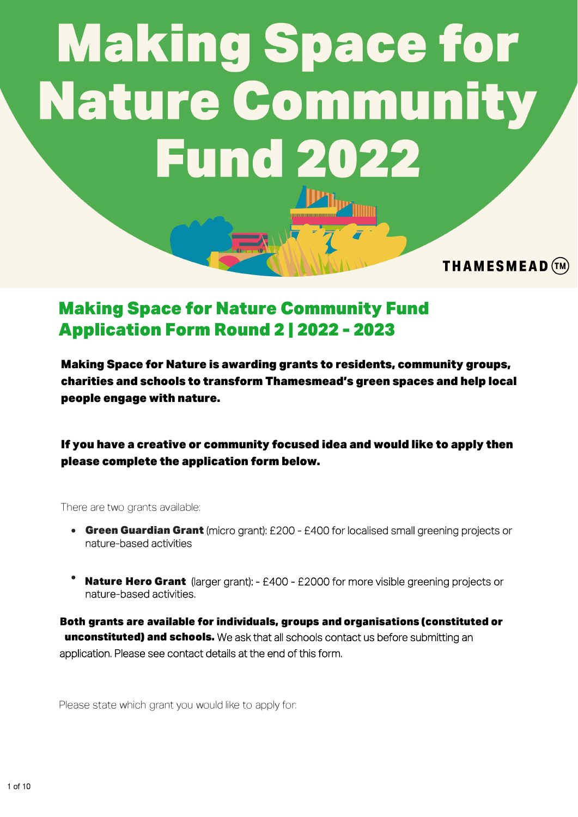# **Making Space for Nature Community Fund 2022**

Making Space for Nature Community Fund Application Form Round 2 | 2022 - 2023

Making Space for Nature is awarding grants to residents, community groups, charities and schools to transform Thamesmead's green spaces and help local people engage with nature.

**THAMESMEAD** (TM)

If you have a creative or community focused idea and would like to apply then please complete the application form below.

There are two grants available:

- Green Guardian Grant (micro grant): £200 £400 for localised small greening projects or nature-based activities
- **Nature Hero Grant** (larger grant): £400 £2000 for more visible greening projects or nature-based activities.

Both grants are available for individuals, groups and organisations (constituted or **unconstituted) and schools.** We ask that all schools contact us before submitting an application. Please see contact details at the end of this form.

Please state which grant you would like to apply for: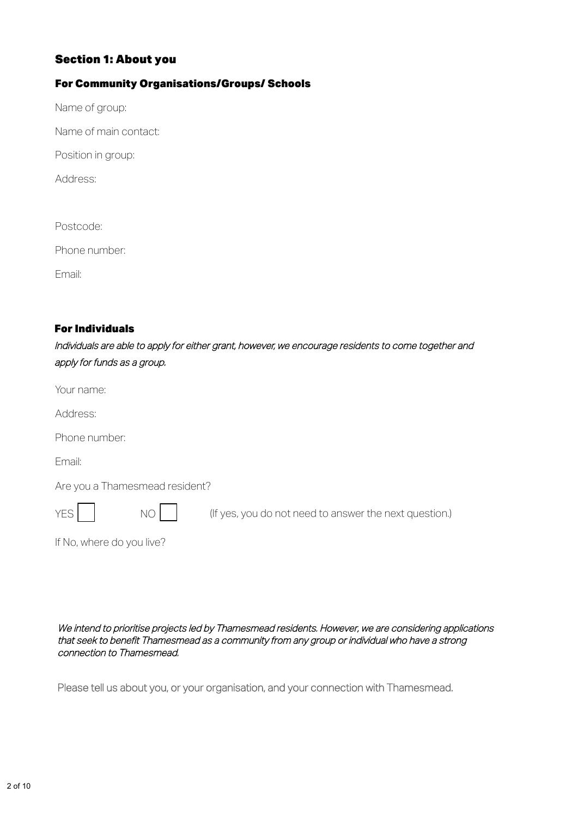# **Section 1: About you**

# For Community Organisations/Groups/ Schools

Name of group:

Name of main contact:

Position in group:

Address:

Postcode:

Phone number:

Email:

### For Individuals

Individuals are able to apply for either grant, however, we encourage residents to come together and apply for funds as a group.

Your name:

Address:

Phone number:

Email:

Are you a Thamesmead resident?

YES NO



(If yes, you do not need to answer the next question.)

If No, where do you live?

We intend to prioritise projects led by Thamesmead residents. However, we are considering applications that seek to benefit Thamesmead as a community from any group or individual who have a strong connection to Thamesmead.

Please tell us about you, or your organisation, and your connection with Thamesmead.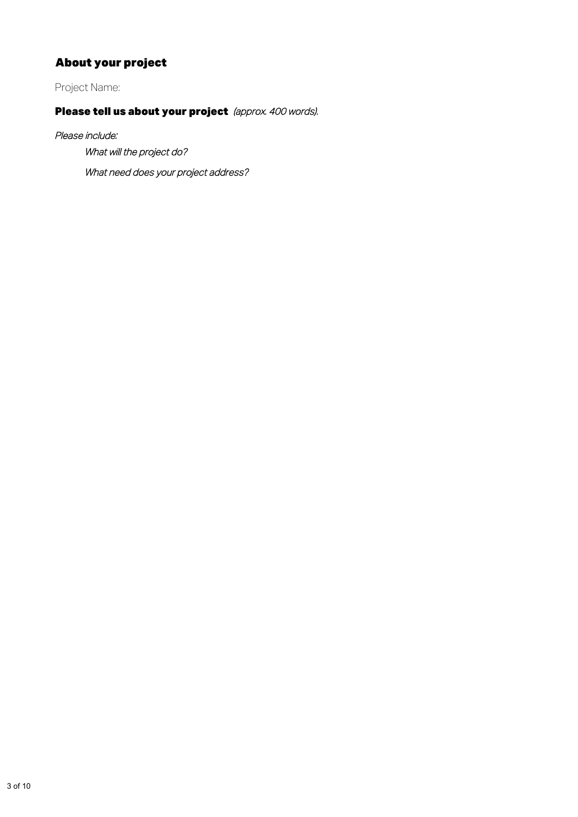# About your project

Project Name:

# Please tell us about your project (approx. 400 words).

Please include:

What will the project do?

What need does your project address?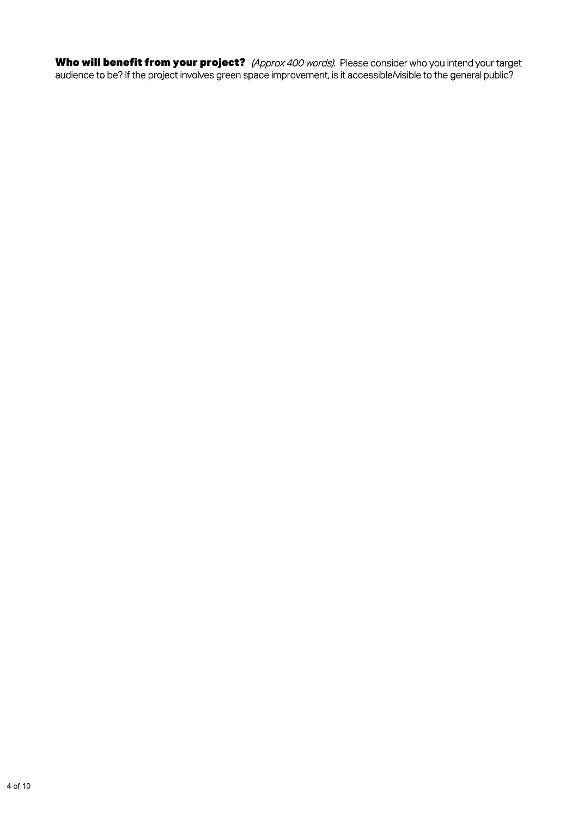Who will benefit from your project? (Approx 400 words). Please consider who you intend your target audience to be? If the project involves green space improvement, is it accessible/visible to the general public?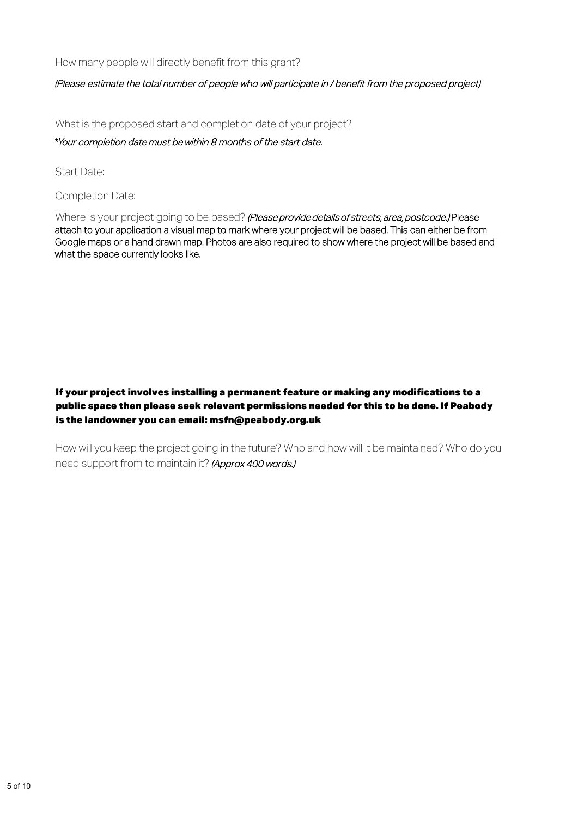How many people will directly benefit from this grant?

#### (Please estimate the total number of people who will participate in / benefit from the proposed project)

What is the proposed start and completion date of your project?

\*Your completion date must be within 8 months of the start date.

Start Date:

Completion Date:

Where is your project going to be based? (Please provide details of streets, area, postcode.) Please attach to your application a visual map to mark where your project will be based. This can either be from Google maps or a hand drawn map. Photos are also required to show where the project will be based and what the space currently looks like.

# If your project involves installing a permanent feature or making any modifications to a public space then please seek relevant permissions needed for this to be done. If Peabody is the landowner you can email: msfn@peabody.org.uk

How will you keep the project going in the future? Who and how will it be maintained? Who do you need support from to maintain it? (Approx 400 words.)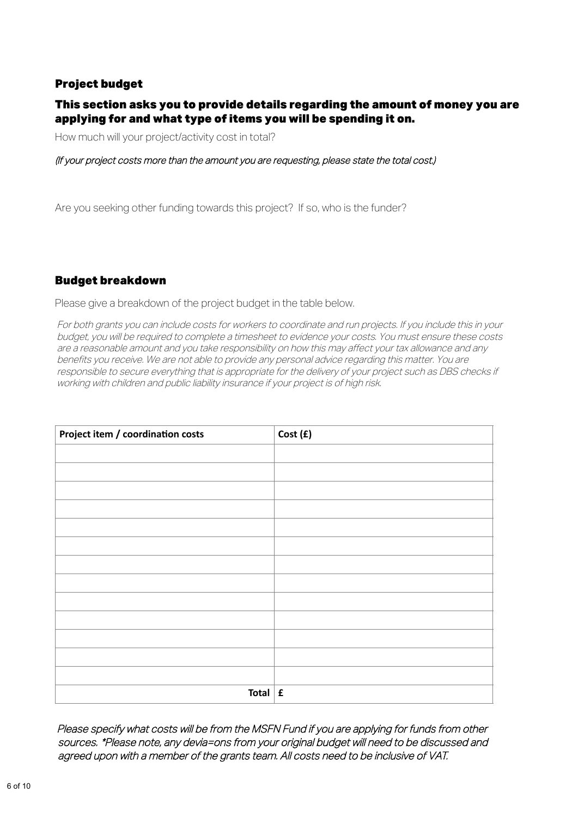# Project budget

# This section asks you to provide details regarding the amount of money you are applying for and what type of items you will be spending it on.

How much will your project/activity cost in total?

#### (If your project costs more than the amount you are requesting, please state the total cost.)

Are you seeking other funding towards this project? If so, who is the funder?

# Budget breakdown

Please give a breakdown of the project budget in the table below.

For both grants you can include costs for workers to coordinate and run projects. If you include this in your budget, you will be required to complete a timesheet to evidence your costs. You must ensure these costs are a reasonable amount and you take responsibility on how this may affect your tax allowance and any benefits you receive. We are not able to provide any personal advice regarding this matter. You are responsible to secure everything that is appropriate for the delivery of your project such as DBS checks if working with children and public liability insurance if your project is of high risk.

| Project item / coordination costs | Cost (£) |
|-----------------------------------|----------|
|                                   |          |
|                                   |          |
|                                   |          |
|                                   |          |
|                                   |          |
|                                   |          |
|                                   |          |
|                                   |          |
|                                   |          |
|                                   |          |
|                                   |          |
|                                   |          |
|                                   |          |
| Total $\mathbf{f}$                |          |

Please specify what costs will be from the MSFN Fund if you are applying for funds from other sources. \*Please note, any devia=ons from your original budget will need to be discussed and agreed upon with a member of the grants team. All costs need to be inclusive of VAT.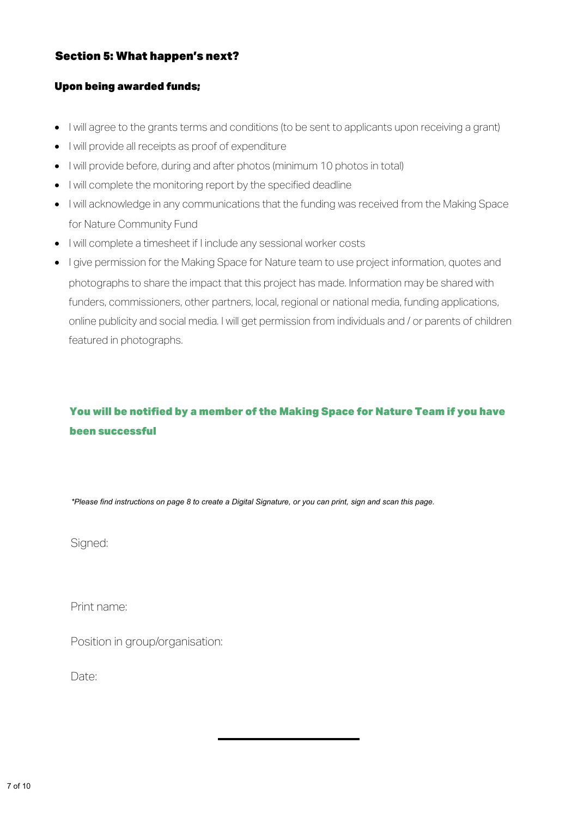# Section 5: What happen's next?

### Upon being awarded funds;

- I will agree to the grants terms and conditions (to be sent to applicants upon receiving a grant)
- I will provide all receipts as proof of expenditure
- I will provide before, during and after photos (minimum 10 photos in total)
- I will complete the monitoring report by the specified deadline
- I will acknowledge in any communications that the funding was received from the Making Space for Nature Community Fund
- I will complete a timesheet if I include any sessional worker costs
- I give permission for the Making Space for Nature team to use project information, quotes and photographs to share the impact that this project has made. Information may be shared with funders, commissioners, other partners, local, regional or national media, funding applications, online publicity and social media. I will get permission from individuals and / or parents of children featured in photographs.

# You will be notified by a member of the Making Space for Nature Team if you have been successful

*\*Please find instructions on page 8 to create a Digital Signature, or you can print, sign and scan this page.*

Sianed:

Print name:

Position in group/organisation:

Date<sup>.</sup>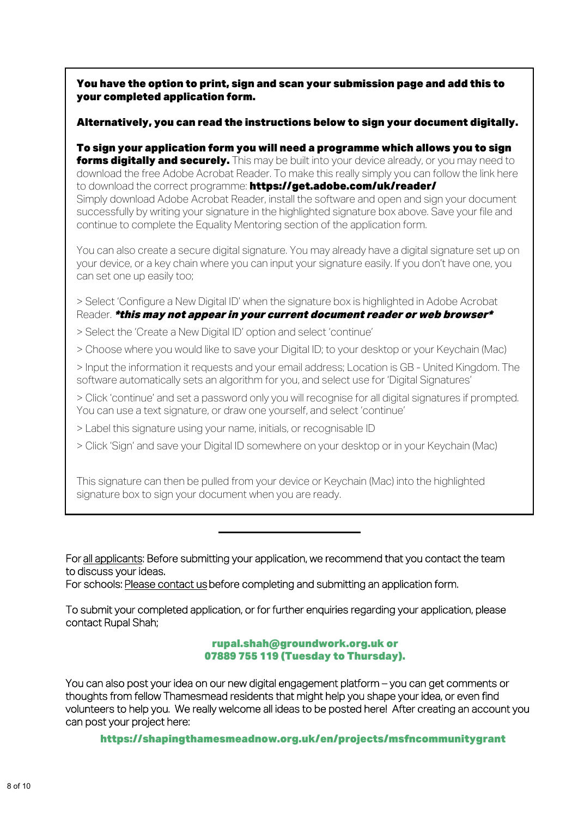You have the option to print, sign and scan your submission page and add this to your completed application form.

#### Alternatively, you can read the instructions below to sign your document digitally.

To sign your application form you will need a programme which allows you to sign **forms digitally and securely.** This may be built into your device already, or you may need to download the free Adobe Acrobat Reader. To make this really simply you can follow the link here to download the correct programme: https://get.adobe.com/uk/reader/ Simply download Adobe Acrobat Reader, install the software and open and sign your document successfully by writing your signature in the highlighted signature box above. Save your file and continue to complete the Equality Mentoring section of the application form.

You can also create a secure digital signature. You may already have a digital signature set up on your device, or a key chain where you can input your signature easily. If you don't have one, you can set one up easily too;

> Select 'Configure a New Digital ID' when the signature box is highlighted in Adobe Acrobat Reader. \*this may not appear in your current document reader or web browser\*

> Select the 'Create a New Digital ID' option and select 'continue'

> Choose where you would like to save your Digital ID; to your desktop or your Keychain (Mac)

> Input the information it requests and your email address; Location is GB - United Kingdom. The software automatically sets an algorithm for you, and select use for 'Digital Signatures'

> Click 'continue' and set a password only you will recognise for all digital signatures if prompted. You can use a text signature, or draw one yourself, and select 'continue'

> Label this signature using your name, initials, or recognisable ID

> Click 'Sign' and save your Digital ID somewhere on your desktop or in your Keychain (Mac)

This signature can then be pulled from your device or Keychain (Mac) into the highlighted signature box to sign your document when you are ready.

For all applicants: Before submitting your application, we recommend that you contact the team to discuss your ideas.

For schools: Please contact us before completing and submitting an application form.

To submit your completed application, or for further enquiries regarding your application, please contact Rupal Shah;

#### rupal.shah@groundwork.org.uk or 07889 755 119 (Tuesday to Thursday).

You can also post your idea on our new digital engagement platform – you can get comments or thoughts from fellow Thamesmead residents that might help you shape your idea, or even find volunteers to help you. We really welcome all ideas to be posted here! After creating an account you can post your project here:

https://shapingthamesmeadnow.org.uk/en/projects/msfncommunitygrant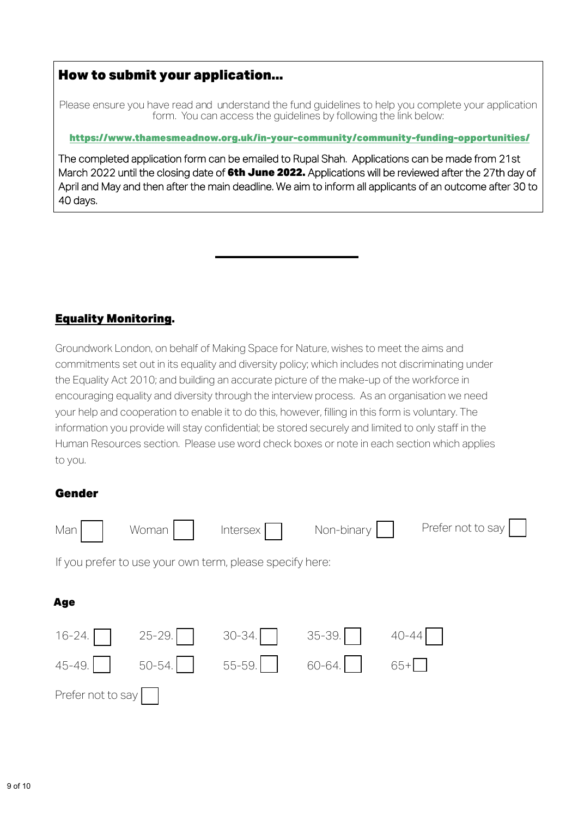# How to submit your application...

Please ensure you have read and understand the fund quidelines to help you complete your application form. You can access the guidelines by following the link below:

<https://www.thamesmeadnow.org.uk/in-your-community/community-funding-opportunities/>

The completed application form can be emailed to Rupal Shah. Applications can be made from 21st March 2022 until the closing date of 6th June 2022. Applications will be reviewed after the 27th day of April and May and then after the main deadline. We aim to inform all applicants of an outcome after 30 to 40 days.

# Equality Monitoring.

Groundwork London, on behalf of Making Space for Nature, wishes to meet the aims and commitments set out in its equality and diversity policy; which includes not discriminating under the Equality Act 2010; and building an accurate picture of the make-up of the workforce in encouraging equality and diversity through the interview process. As an organisation we need your help and cooperation to enable it to do this, however, filling in this form is voluntary. The information you provide will stay confidential; be stored securely and limited to only staff in the Human Resources section. Please use word check boxes or note in each section which applies to you.

# Gender

| Man                                                      | Woman      | Intersex   | Non-binary |           | Prefer not to say |  |  |
|----------------------------------------------------------|------------|------------|------------|-----------|-------------------|--|--|
| If you prefer to use your own term, please specify here: |            |            |            |           |                   |  |  |
| <b>Age</b>                                               |            |            |            |           |                   |  |  |
| $16 - 24.$                                               | $25 - 29.$ | $30 - 34.$ | $35 - 39.$ | $40 - 44$ |                   |  |  |
| 45-49.                                                   | $50 - 54.$ | 55-59.     | 60-64.     | $65+$     |                   |  |  |
| Prefer not to say                                        |            |            |            |           |                   |  |  |